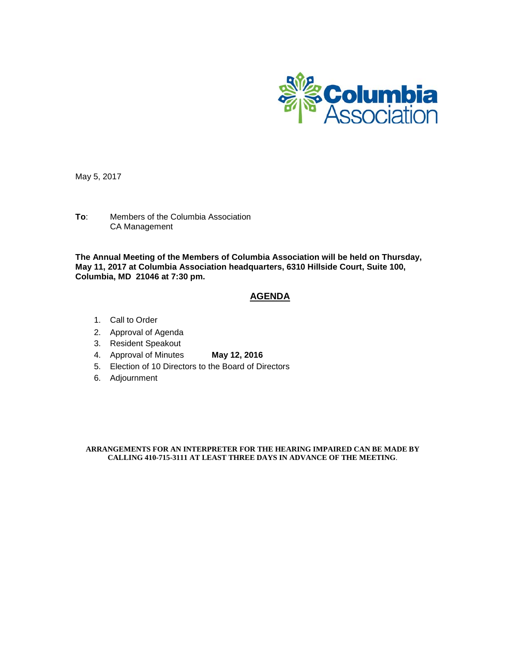

May 5, 2017

**To**: Members of the Columbia Association CA Management

**The Annual Meeting of the Members of Columbia Association will be held on Thursday, May 11, 2017 at Columbia Association headquarters, 6310 Hillside Court, Suite 100, Columbia, MD 21046 at 7:30 pm.**

#### **AGENDA**

- 1. Call to Order
- 2. Approval of Agenda
- 3. Resident Speakout
- 4. Approval of Minutes **May 12, 2016**
- 5. Election of 10 Directors to the Board of Directors
- 6. Adjournment

**ARRANGEMENTS FOR AN INTERPRETER FOR THE HEARING IMPAIRED CAN BE MADE BY CALLING 410-715-3111 AT LEAST THREE DAYS IN ADVANCE OF THE MEETING**.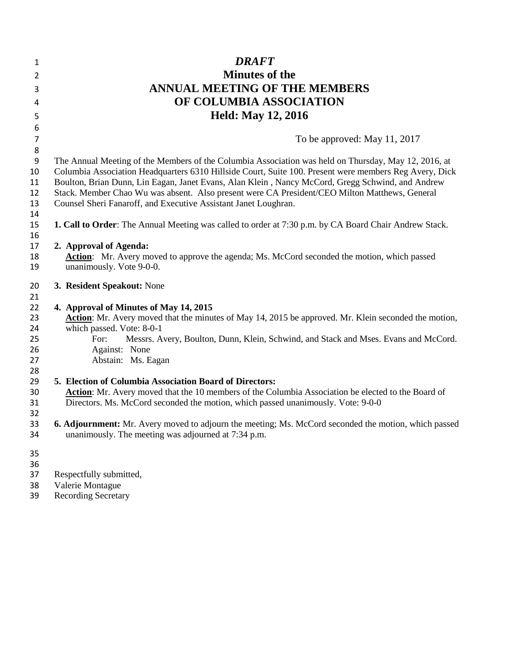| 1                           | <b>DRAFT</b>                                                                                                 |
|-----------------------------|--------------------------------------------------------------------------------------------------------------|
| 2                           | <b>Minutes of the</b>                                                                                        |
| 3                           | <b>ANNUAL MEETING OF THE MEMBERS</b>                                                                         |
| 4                           | OF COLUMBIA ASSOCIATION                                                                                      |
|                             |                                                                                                              |
| 5                           | <b>Held: May 12, 2016</b>                                                                                    |
| 6                           |                                                                                                              |
| $\overline{7}$              | To be approved: May 11, 2017                                                                                 |
| $\bf 8$<br>$\boldsymbol{9}$ | The Annual Meeting of the Members of the Columbia Association was held on Thursday, May 12, 2016, at         |
| 10                          | Columbia Association Headquarters 6310 Hillside Court, Suite 100. Present were members Reg Avery, Dick       |
| 11                          | Boulton, Brian Dunn, Lin Eagan, Janet Evans, Alan Klein, Nancy McCord, Gregg Schwind, and Andrew             |
| 12                          | Stack. Member Chao Wu was absent. Also present were CA President/CEO Milton Matthews, General                |
| 13                          | Counsel Sheri Fanaroff, and Executive Assistant Janet Loughran.                                              |
| 14                          |                                                                                                              |
| 15                          | <b>1. Call to Order:</b> The Annual Meeting was called to order at 7:30 p.m. by CA Board Chair Andrew Stack. |
| 16                          |                                                                                                              |
| 17                          | 2. Approval of Agenda:                                                                                       |
| 18                          | Action: Mr. Avery moved to approve the agenda; Ms. McCord seconded the motion, which passed                  |
| 19                          | unanimously. Vote 9-0-0.                                                                                     |
| 20                          | 3. Resident Speakout: None                                                                                   |
| 21                          |                                                                                                              |
| 22                          | 4. Approval of Minutes of May 14, 2015                                                                       |
| 23                          | Action: Mr. Avery moved that the minutes of May 14, 2015 be approved. Mr. Klein seconded the motion,         |
| 24                          | which passed. Vote: 8-0-1                                                                                    |
| 25                          | For:<br>Messrs. Avery, Boulton, Dunn, Klein, Schwind, and Stack and Mses. Evans and McCord.                  |
| 26                          | Against: None                                                                                                |
| 27                          | Abstain: Ms. Eagan                                                                                           |
| 28                          |                                                                                                              |
| 29                          | 5. Election of Columbia Association Board of Directors:                                                      |
| 30                          | Action: Mr. Avery moved that the 10 members of the Columbia Association be elected to the Board of           |
| 31                          | Directors. Ms. McCord seconded the motion, which passed unanimously. Vote: 9-0-0                             |
| 32<br>33                    | <b>6. Adjournment:</b> Mr. Avery moved to adjourn the meeting; Ms. McCord seconded the motion, which passed  |
| 34                          | unanimously. The meeting was adjourned at 7:34 p.m.                                                          |
|                             |                                                                                                              |
| 35                          |                                                                                                              |
| 36                          |                                                                                                              |
| 37                          | Respectfully submitted,                                                                                      |
| $\sim$                      | $\mathbf{v}$ $\mathbf{v}$ $\mathbf{v}$ $\mathbf{v}$ $\mathbf{v}$ $\mathbf{v}$                                |

- Valerie Montague
- Recording Secretary